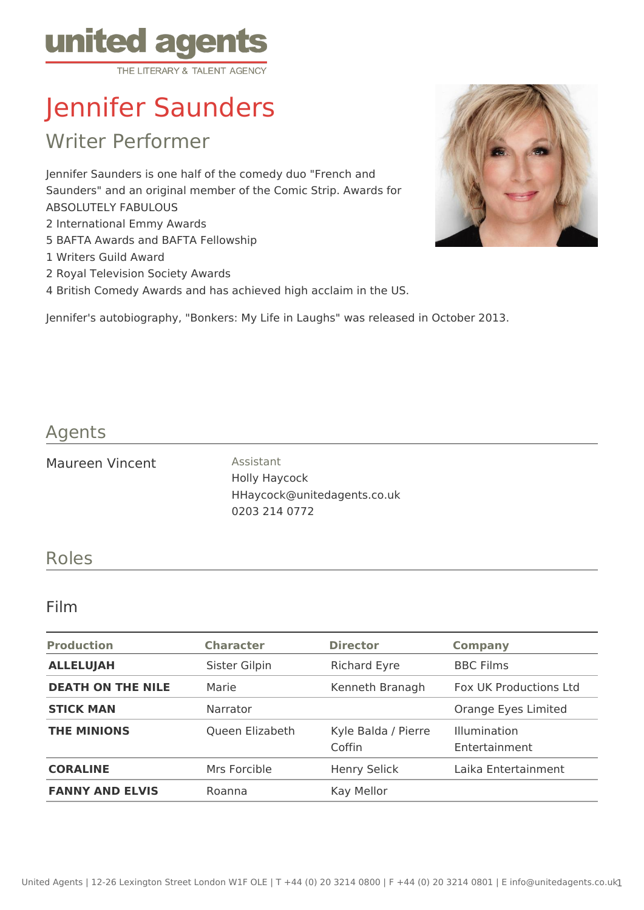

# Jennifer Saunders

Writer Performer

Jennifer Saunders is one half of the comedy duo "French and Saunders" and an original member of the Comic Strip. Awards for ABSOLUTELY FABULOUS 2 International Emmy Awards

- 5 BAFTA Awards and BAFTA Fellowship
- 1 Writers Guild Award
- 2 Royal Television Society Awards
- 4 British Comedy Awards and has achieved high acclaim in the US.



## Agents

Maureen Vincent **Assistant** 

Holly Haycock HHaycock@unitedagents.co.uk 0203 214 0772

### Roles

#### Film

| <b>Production</b>        | <b>Character</b> | <b>Director</b>               | <b>Company</b>                       |
|--------------------------|------------------|-------------------------------|--------------------------------------|
| <b>ALLELUJAH</b>         | Sister Gilpin    | <b>Richard Eyre</b>           | <b>BBC Films</b>                     |
| <b>DEATH ON THE NILE</b> | Marie            | Kenneth Branagh               | <b>Fox UK Productions Ltd</b>        |
| <b>STICK MAN</b>         | <b>Narrator</b>  |                               | Orange Eyes Limited                  |
| <b>THE MINIONS</b>       | Queen Elizabeth  | Kyle Balda / Pierre<br>Coffin | <b>Illumination</b><br>Entertainment |
| <b>CORALINE</b>          | Mrs Forcible     | <b>Henry Selick</b>           | Laika Entertainment                  |
| <b>FANNY AND ELVIS</b>   | Roanna           | Kay Mellor                    |                                      |

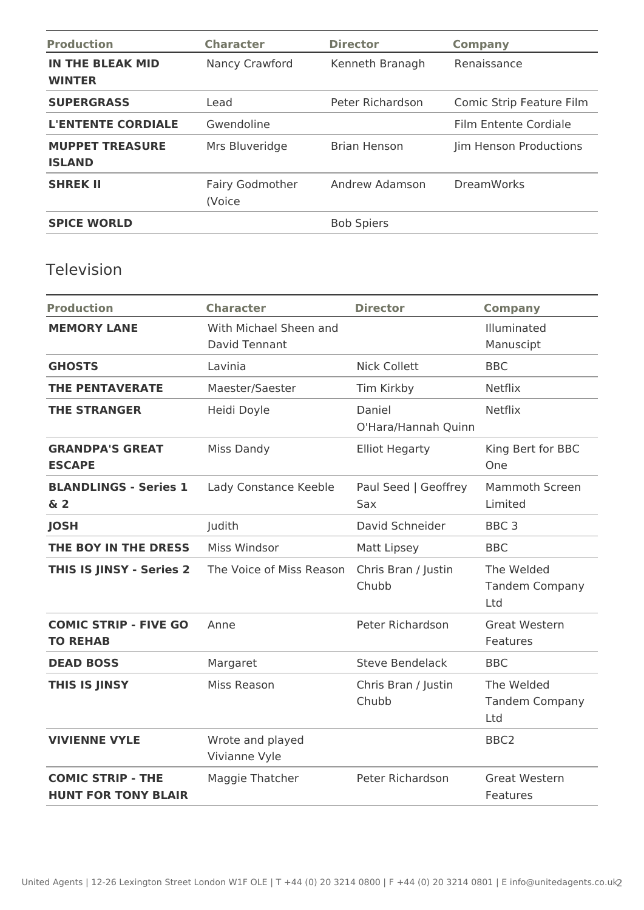| <b>Production</b>                        | <b>Character</b>                 | <b>Director</b>     | <b>Company</b>           |
|------------------------------------------|----------------------------------|---------------------|--------------------------|
| <b>IN THE BLEAK MID</b><br><b>WINTER</b> | <b>Nancy Crawford</b>            | Kenneth Branagh     | Renaissance              |
| <b>SUPERGRASS</b>                        | Lead                             | Peter Richardson    | Comic Strip Feature Film |
| <b>L'ENTENTE CORDIALE</b>                | Gwendoline                       |                     | Film Entente Cordiale    |
| <b>MUPPET TREASURE</b><br><b>ISLAND</b>  | Mrs Bluveridge                   | <b>Brian Henson</b> | Jim Henson Productions   |
| <b>SHREK II</b>                          | <b>Fairy Godmother</b><br>(Voice | Andrew Adamson      | <b>DreamWorks</b>        |
| <b>SPICE WORLD</b>                       |                                  | <b>Bob Spiers</b>   |                          |

## Television

| <b>Production</b>                                      | <b>Character</b>                        | <b>Director</b>               | <b>Company</b>                             |
|--------------------------------------------------------|-----------------------------------------|-------------------------------|--------------------------------------------|
| <b>MEMORY LANE</b>                                     | With Michael Sheen and<br>David Tennant |                               | Illuminated<br>Manuscipt                   |
| <b>GHOSTS</b>                                          | Lavinia                                 | <b>Nick Collett</b>           | <b>BBC</b>                                 |
| <b>THE PENTAVERATE</b>                                 | Maester/Saester                         | Tim Kirkby                    | <b>Netflix</b>                             |
| <b>THE STRANGER</b>                                    | Heidi Doyle                             | Daniel<br>O'Hara/Hannah Quinn | <b>Netflix</b>                             |
| <b>GRANDPA'S GREAT</b><br><b>ESCAPE</b>                | Miss Dandy                              | <b>Elliot Hegarty</b>         | King Bert for BBC<br>One                   |
| <b>BLANDLINGS - Series 1</b><br>$\delta$ 2             | Lady Constance Keeble                   | Paul Seed   Geoffrey<br>Sax   | <b>Mammoth Screen</b><br>Limited           |
| <b>JOSH</b>                                            | Judith                                  | David Schneider               | BBC <sub>3</sub>                           |
| THE BOY IN THE DRESS                                   | Miss Windsor                            | Matt Lipsey                   | <b>BBC</b>                                 |
| <b>THIS IS JINSY - Series 2</b>                        | The Voice of Miss Reason                | Chris Bran / Justin<br>Chubb  | The Welded<br><b>Tandem Company</b><br>Ltd |
| <b>COMIC STRIP - FIVE GO</b><br><b>TO REHAB</b>        | Anne                                    | Peter Richardson              | <b>Great Western</b><br>Features           |
| <b>DEAD BOSS</b>                                       | Margaret                                | <b>Steve Bendelack</b>        | <b>BBC</b>                                 |
| THIS IS JINSY                                          | Miss Reason                             | Chris Bran / Justin<br>Chubb  | The Welded<br><b>Tandem Company</b><br>Ltd |
| <b>VIVIENNE VYLE</b>                                   | Wrote and played<br>Vivianne Vyle       |                               | BBC <sub>2</sub>                           |
| <b>COMIC STRIP - THE</b><br><b>HUNT FOR TONY BLAIR</b> | Maggie Thatcher                         | Peter Richardson              | <b>Great Western</b><br>Features           |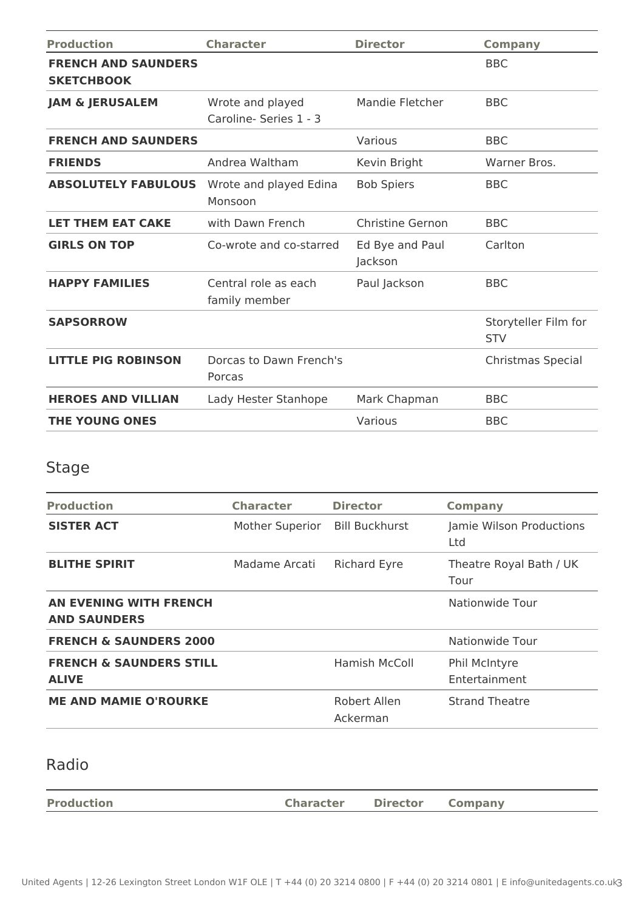| <b>Production</b>                               | <b>Character</b>                           | <b>Director</b>            | <b>Company</b>                     |
|-------------------------------------------------|--------------------------------------------|----------------------------|------------------------------------|
| <b>FRENCH AND SAUNDERS</b><br><b>SKETCHBOOK</b> |                                            |                            | <b>BBC</b>                         |
| <b>JAM &amp; JERUSALEM</b>                      | Wrote and played<br>Caroline- Series 1 - 3 | <b>Mandie Fletcher</b>     | <b>BBC</b>                         |
| <b>FRENCH AND SAUNDERS</b>                      |                                            | Various                    | <b>BBC</b>                         |
| <b>FRIENDS</b>                                  | Andrea Waltham                             | Kevin Bright               | Warner Bros.                       |
| <b>ABSOLUTELY FABULOUS</b>                      | Wrote and played Edina<br>Monsoon          | <b>Bob Spiers</b>          | <b>BBC</b>                         |
| <b>LET THEM EAT CAKE</b>                        | with Dawn French                           | <b>Christine Gernon</b>    | <b>BBC</b>                         |
| <b>GIRLS ON TOP</b>                             | Co-wrote and co-starred                    | Ed Bye and Paul<br>Jackson | Carlton                            |
| <b>HAPPY FAMILIES</b>                           | Central role as each<br>family member      | Paul Jackson               | <b>BBC</b>                         |
| <b>SAPSORROW</b>                                |                                            |                            | Storyteller Film for<br><b>STV</b> |
| <b>LITTLE PIG ROBINSON</b>                      | Dorcas to Dawn French's<br>Porcas          |                            | Christmas Special                  |
| <b>HEROES AND VILLIAN</b>                       | Lady Hester Stanhope                       | Mark Chapman               | <b>BBC</b>                         |
| <b>THE YOUNG ONES</b>                           |                                            | Various                    | <b>BBC</b>                         |

# Stage

| <b>Production</b>                                  | <b>Character</b> | <b>Director</b>          | <b>Company</b>                  |
|----------------------------------------------------|------------------|--------------------------|---------------------------------|
| <b>SISTER ACT</b>                                  | Mother Superior  | <b>Bill Buckhurst</b>    | Jamie Wilson Productions<br>Ltd |
| <b>BLITHE SPIRIT</b>                               | Madame Arcati    | <b>Richard Eyre</b>      | Theatre Royal Bath / UK<br>Tour |
| AN EVENING WITH FRENCH<br><b>AND SAUNDERS</b>      |                  |                          | Nationwide Tour                 |
| <b>FRENCH &amp; SAUNDERS 2000</b>                  |                  |                          | Nationwide Tour                 |
| <b>FRENCH &amp; SAUNDERS STILL</b><br><b>ALIVE</b> |                  | Hamish McColl            | Phil McIntyre<br>Entertainment  |
| <b>ME AND MAMIE O'ROURKE</b>                       |                  | Robert Allen<br>Ackerman | <b>Strand Theatre</b>           |

# Radio

| Company |
|---------|
|---------|